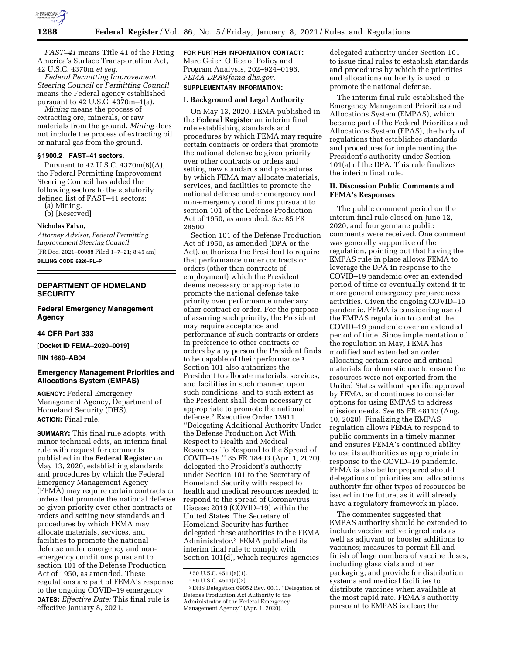

*FAST–41* means Title 41 of the Fixing America's Surface Transportation Act, 42 U.S.C. 4370m *et seq.* 

*Federal Permitting Improvement Steering Council* or *Permitting Council*  means the Federal agency established pursuant to 42 U.S.C. 4370m–1(a).

*Mining* means the process of extracting ore, minerals, or raw materials from the ground. *Mining* does not include the process of extracting oil or natural gas from the ground.

## **§ 1900.2 FAST–41 sectors.**

Pursuant to 42 U.S.C. 4370m(6)(A), the Federal Permitting Improvement Steering Council has added the following sectors to the statutorily defined list of FAST–41 sectors:

(a) Mining.

(b) [Reserved]

#### **Nicholas Falvo,**

*Attorney Advisor, Federal Permitting Improvement Steering Council.*  [FR Doc. 2021–00088 Filed 1–7–21; 8:45 am]

**BILLING CODE 6820–PL–P** 

# **DEPARTMENT OF HOMELAND SECURITY**

# **Federal Emergency Management Agency**

#### **44 CFR Part 333**

**[Docket ID FEMA–2020–0019]** 

### **RIN 1660–AB04**

# **Emergency Management Priorities and Allocations System (EMPAS)**

**AGENCY:** Federal Emergency Management Agency, Department of Homeland Security (DHS). **ACTION:** Final rule.

**SUMMARY:** This final rule adopts, with minor technical edits, an interim final rule with request for comments published in the **Federal Register** on May 13, 2020, establishing standards and procedures by which the Federal Emergency Management Agency (FEMA) may require certain contracts or orders that promote the national defense be given priority over other contracts or orders and setting new standards and procedures by which FEMA may allocate materials, services, and facilities to promote the national defense under emergency and nonemergency conditions pursuant to section 101 of the Defense Production Act of 1950, as amended. These regulations are part of FEMA's response to the ongoing COVID–19 emergency. **DATES:** *Effective Date:* This final rule is effective January 8, 2021.

#### **FOR FURTHER INFORMATION CONTACT:**

Marc Geier, Office of Policy and Program Analysis, 202–924–0196, *[FEMA-DPA@fema.dhs.gov.](mailto:FEMA-DPA@fema.dhs.gov)* 

# **SUPPLEMENTARY INFORMATION:**

## **I. Background and Legal Authority**

On May 13, 2020, FEMA published in the **Federal Register** an interim final rule establishing standards and procedures by which FEMA may require certain contracts or orders that promote the national defense be given priority over other contracts or orders and setting new standards and procedures by which FEMA may allocate materials, services, and facilities to promote the national defense under emergency and non-emergency conditions pursuant to section 101 of the Defense Production Act of 1950, as amended. *See* 85 FR 28500.

Section 101 of the Defense Production Act of 1950, as amended (DPA or the Act), authorizes the President to require that performance under contracts or orders (other than contracts of employment) which the President deems necessary or appropriate to promote the national defense take priority over performance under any other contract or order. For the purpose of assuring such priority, the President may require acceptance and performance of such contracts or orders in preference to other contracts or orders by any person the President finds to be capable of their performance.1 Section 101 also authorizes the President to allocate materials, services, and facilities in such manner, upon such conditions, and to such extent as the President shall deem necessary or appropriate to promote the national defense.2 Executive Order 13911, ''Delegating Additional Authority Under the Defense Production Act With Respect to Health and Medical Resources To Respond to the Spread of COVID–19,'' 85 FR 18403 (Apr. 1, 2020), delegated the President's authority under Section 101 to the Secretary of Homeland Security with respect to health and medical resources needed to respond to the spread of Coronavirus Disease 2019 (COVID–19) within the United States. The Secretary of Homeland Security has further delegated these authorities to the FEMA Administrator.3 FEMA published its interim final rule to comply with Section 101(d), which requires agencies

delegated authority under Section 101 to issue final rules to establish standards and procedures by which the priorities and allocations authority is used to promote the national defense.

The interim final rule established the Emergency Management Priorities and Allocations System (EMPAS), which became part of the Federal Priorities and Allocations System (FPAS), the body of regulations that establishes standards and procedures for implementing the President's authority under Section 101(a) of the DPA. This rule finalizes the interim final rule.

#### **II. Discussion Public Comments and FEMA's Responses**

The public comment period on the interim final rule closed on June 12, 2020, and four germane public comments were received. One comment was generally supportive of the regulation, pointing out that having the EMPAS rule in place allows FEMA to leverage the DPA in response to the COVID–19 pandemic over an extended period of time or eventually extend it to more general emergency preparedness activities. Given the ongoing COVID–19 pandemic, FEMA is considering use of the EMPAS regulation to combat the COVID–19 pandemic over an extended period of time. Since implementation of the regulation in May, FEMA has modified and extended an order allocating certain scarce and critical materials for domestic use to ensure the resources were not exported from the United States without specific approval by FEMA, and continues to consider options for using EMPAS to address mission needs. *See* 85 FR 48113 (Aug. 10, 2020). Finalizing the EMPAS regulation allows FEMA to respond to public comments in a timely manner and ensures FEMA's continued ability to use its authorities as appropriate in response to the COVID–19 pandemic. FEMA is also better prepared should delegations of priorities and allocations authority for other types of resources be issued in the future, as it will already have a regulatory framework in place.

The commenter suggested that EMPAS authority should be extended to include vaccine active ingredients as well as adjuvant or booster additions to vaccines; measures to permit fill and finish of large numbers of vaccine doses, including glass vials and other packaging; and provide for distribution systems and medical facilities to distribute vaccines when available at the most rapid rate. FEMA's authority pursuant to EMPAS is clear; the

<sup>1</sup> 50 U.S.C. 4511(a)(1).

<sup>2</sup> 50 U.S.C. 4511(a)(2).

<sup>3</sup> DHS Delegation 09052 Rev. 00.1, ''Delegation of Defense Production Act Authority to the Administrator of the Federal Emergency Management Agency'' (Apr. 1, 2020).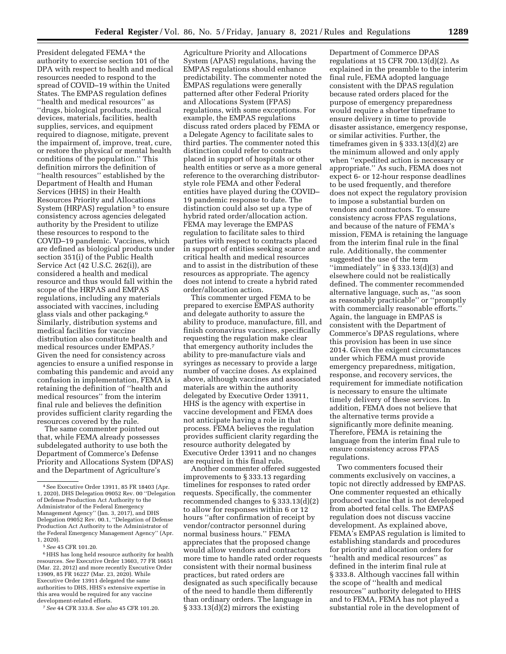President delegated FEMA 4 the authority to exercise section 101 of the DPA with respect to health and medical resources needed to respond to the spread of COVID–19 within the United States. The EMPAS regulation defines ''health and medical resources'' as ''drugs, biological products, medical devices, materials, facilities, health supplies, services, and equipment required to diagnose, mitigate, prevent the impairment of, improve, treat, cure, or restore the physical or mental health conditions of the population.'' This definition mirrors the definition of ''health resources'' established by the Department of Health and Human Services (HHS) in their Health Resources Priority and Allocations System (HRPAS) regulation<sup>5</sup> to ensure consistency across agencies delegated authority by the President to utilize these resources to respond to the COVID–19 pandemic. Vaccines, which are defined as biological products under section 351(i) of the Public Health Service Act (42 U.S.C. 262(i)), are considered a health and medical resource and thus would fall within the scope of the HRPAS and EMPAS regulations, including any materials associated with vaccines, including glass vials and other packaging.6 Similarly, distribution systems and medical facilities for vaccine distribution also constitute health and medical resources under EMPAS.7 Given the need for consistency across agencies to ensure a unified response in combating this pandemic and avoid any confusion in implementation, FEMA is retaining the definition of ''health and medical resources'' from the interim final rule and believes the definition provides sufficient clarity regarding the resources covered by the rule.

The same commenter pointed out that, while FEMA already possesses subdelegated authority to use both the Department of Commerce's Defense Priority and Allocations System (DPAS) and the Department of Agriculture's

5*See* 45 CFR 101.20.

6HHS has long held resource authority for health resources. *See* Executive Order 13603, 77 FR 16651 (Mar. 22, 2012) and more recently Executive Order 13909, 85 FR 16227 (Mar. 23, 2020). While Executive Order 13911 delegated the same authorities to DHS, HHS's extensive expertise in this area would be required for any vaccine development-related efforts.

7*See* 44 CFR 333.8. *See also* 45 CFR 101.20.

Agriculture Priority and Allocations System (APAS) regulations, having the EMPAS regulations should enhance predictability. The commenter noted the EMPAS regulations were generally patterned after other Federal Priority and Allocations System (FPAS) regulations, with some exceptions. For example, the EMPAS regulations discuss rated orders placed by FEMA or a Delegate Agency to facilitate sales to third parties. The commenter noted this distinction could refer to contracts placed in support of hospitals or other health entities or serve as a more general reference to the overarching distributorstyle role FEMA and other Federal entities have played during the COVID– 19 pandemic response to date. The distinction could also set up a type of hybrid rated order/allocation action. FEMA may leverage the EMPAS regulation to facilitate sales to third parties with respect to contracts placed in support of entities seeking scarce and critical health and medical resources and to assist in the distribution of these resources as appropriate. The agency does not intend to create a hybrid rated order/allocation action.

This commenter urged FEMA to be prepared to exercise EMPAS authority and delegate authority to assure the ability to produce, manufacture, fill, and finish coronavirus vaccines, specifically requesting the regulation make clear that emergency authority includes the ability to pre-manufacture vials and syringes as necessary to provide a large number of vaccine doses. As explained above, although vaccines and associated materials are within the authority delegated by Executive Order 13911, HHS is the agency with expertise in vaccine development and FEMA does not anticipate having a role in that process. FEMA believes the regulation provides sufficient clarity regarding the resource authority delegated by Executive Order 13911 and no changes are required in this final rule.

Another commenter offered suggested improvements to § 333.13 regarding timelines for responses to rated order requests. Specifically, the commenter recommended changes to § 333.13(d)(2) to allow for responses within 6 or 12 hours ''after confirmation of receipt by vendor/contractor personnel during normal business hours.'' FEMA appreciates that the proposed change would allow vendors and contractors more time to handle rated order requests consistent with their normal business practices, but rated orders are designated as such specifically because of the need to handle them differently than ordinary orders. The language in § 333.13(d)(2) mirrors the existing

Department of Commerce DPAS regulations at 15 CFR 700.13(d)(2). As explained in the preamble to the interim final rule, FEMA adopted language consistent with the DPAS regulation because rated orders placed for the purpose of emergency preparedness would require a shorter timeframe to ensure delivery in time to provide disaster assistance, emergency response, or similar activities. Further, the timeframes given in § 333.13(d)(2) are the minimum allowed and only apply when ''expedited action is necessary or appropriate.'' As such, FEMA does not expect 6- or 12-hour response deadlines to be used frequently, and therefore does not expect the regulatory provision to impose a substantial burden on vendors and contractors. To ensure consistency across FPAS regulations, and because of the nature of FEMA's mission, FEMA is retaining the language from the interim final rule in the final rule. Additionally, the commenter suggested the use of the term "immediately" in  $\S 333.13(d)(3)$  and elsewhere could not be realistically defined. The commenter recommended alternative language, such as, ''as soon as reasonably practicable'' or ''promptly with commercially reasonable efforts.'' Again, the language in EMPAS is consistent with the Department of Commerce's DPAS regulations, where this provision has been in use since 2014. Given the exigent circumstances under which FEMA must provide emergency preparedness, mitigation, response, and recovery services, the requirement for immediate notification is necessary to ensure the ultimate timely delivery of these services. In addition, FEMA does not believe that the alternative terms provide a significantly more definite meaning. Therefore, FEMA is retaining the language from the interim final rule to ensure consistency across FPAS regulations.

Two commenters focused their comments exclusively on vaccines, a topic not directly addressed by EMPAS. One commenter requested an ethically produced vaccine that is not developed from aborted fetal cells. The EMPAS regulation does not discuss vaccine development. As explained above, FEMA's EMPAS regulation is limited to establishing standards and procedures for priority and allocation orders for ''health and medical resources'' as defined in the interim final rule at § 333.8. Although vaccines fall within the scope of ''health and medical resources'' authority delegated to HHS and to FEMA, FEMA has not played a substantial role in the development of

<sup>4</sup>See Executive Order 13911, 85 FR 18403 (Apr. 1, 2020), DHS Delegation 09052 Rev. 00 ''Delegation of Defense Production Act Authority to the Administrator of the Federal Emergency Management Agency'' (Jan. 3, 2017), and DHS Delegation 09052 Rev. 00.1, ''Delegation of Defense Production Act Authority to the Administrator of the Federal Emergency Management Agency'' (Apr. 1, 2020).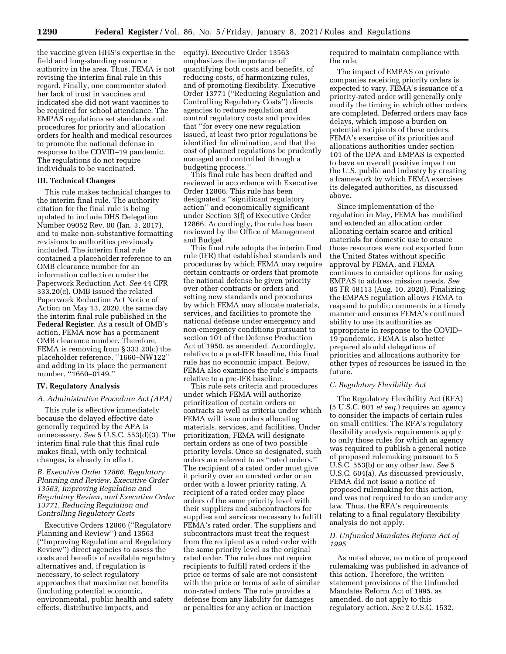the vaccine given HHS's expertise in the field and long-standing resource authority in the area. Thus, FEMA is not revising the interim final rule in this regard. Finally, one commenter stated her lack of trust in vaccines and indicated she did not want vaccines to be required for school attendance. The EMPAS regulations set standards and procedures for priority and allocation orders for health and medical resources to promote the national defense in response to the COVID–19 pandemic. The regulations do not require individuals to be vaccinated.

#### **III. Technical Changes**

This rule makes technical changes to the interim final rule. The authority citation for the final rule is being updated to include DHS Delegation Number 09052 Rev. 00 (Jan. 3, 2017), and to make non-substantive formatting revisions to authorities previously included. The interim final rule contained a placeholder reference to an OMB clearance number for an information collection under the Paperwork Reduction Act. *See* 44 CFR 333.20(c). OMB issued the related Paperwork Reduction Act Notice of Action on May 13, 2020, the same day the interim final rule published in the **Federal Register**. As a result of OMB's action, FEMA now has a permanent OMB clearance number. Therefore, FEMA is removing from § 333.20(c) the placeholder reference, ''1660–NW122'' and adding in its place the permanent number, ''1660–0149.''

### **IV. Regulatory Analysis**

#### *A. Administrative Procedure Act (APA)*

This rule is effective immediately because the delayed effective date generally required by the APA is unnecessary. *See* 5 U.S.C. 553(d)(3). The interim final rule that this final rule makes final, with only technical changes, is already in effect.

## *B. Executive Order 12866, Regulatory Planning and Review, Executive Order 13563, Improving Regulation and Regulatory Review, and Executive Order 13771, Reducing Regulation and Controlling Regulatory Costs*

Executive Orders 12866 (''Regulatory Planning and Review'') and 13563 (''Improving Regulation and Regulatory Review'') direct agencies to assess the costs and benefits of available regulatory alternatives and, if regulation is necessary, to select regulatory approaches that maximize net benefits (including potential economic, environmental, public health and safety effects, distributive impacts, and

equity). Executive Order 13563 emphasizes the importance of quantifying both costs and benefits, of reducing costs, of harmonizing rules, and of promoting flexibility. Executive Order 13771 (''Reducing Regulation and Controlling Regulatory Costs'') directs agencies to reduce regulation and control regulatory costs and provides that ''for every one new regulation issued, at least two prior regulations be identified for elimination, and that the cost of planned regulations be prudently managed and controlled through a budgeting process.''

This final rule has been drafted and reviewed in accordance with Executive Order 12866. This rule has been designated a ''significant regulatory action'' and economically significant under Section 3(f) of Executive Order 12866. Accordingly, the rule has been reviewed by the Office of Management and Budget.

This final rule adopts the interim final rule (IFR) that established standards and procedures by which FEMA may require certain contracts or orders that promote the national defense be given priority over other contracts or orders and setting new standards and procedures by which FEMA may allocate materials, services, and facilities to promote the national defense under emergency and non-emergency conditions pursuant to section 101 of the Defense Production Act of 1950, as amended. Accordingly, relative to a post-IFR baseline, this final rule has no economic impact. Below, FEMA also examines the rule's impacts relative to a pre-IFR baseline.

This rule sets criteria and procedures under which FEMA will authorize prioritization of certain orders or contracts as well as criteria under which FEMA will issue orders allocating materials, services, and facilities. Under prioritization, FEMA will designate certain orders as one of two possible priority levels. Once so designated, such orders are referred to as ''rated orders.'' The recipient of a rated order must give it priority over an unrated order or an order with a lower priority rating. A recipient of a rated order may place orders of the same priority level with their suppliers and subcontractors for supplies and services necessary to fulfill FEMA's rated order. The suppliers and subcontractors must treat the request from the recipient as a rated order with the same priority level as the original rated order. The rule does not require recipients to fulfill rated orders if the price or terms of sale are not consistent with the price or terms of sale of similar non-rated orders. The rule provides a defense from any liability for damages or penalties for any action or inaction

required to maintain compliance with the rule.

The impact of EMPAS on private companies receiving priority orders is expected to vary. FEMA's issuance of a priority-rated order will generally only modify the timing in which other orders are completed. Deferred orders may face delays, which impose a burden on potential recipients of these orders. FEMA's exercise of its priorities and allocations authorities under section 101 of the DPA and EMPAS is expected to have an overall positive impact on the U.S. public and industry by creating a framework by which FEMA exercises its delegated authorities, as discussed above.

Since implementation of the regulation in May, FEMA has modified and extended an allocation order allocating certain scarce and critical materials for domestic use to ensure those resources were not exported from the United States without specific approval by FEMA, and FEMA continues to consider options for using EMPAS to address mission needs. *See*  85 FR 48113 (Aug. 10, 2020). Finalizing the EMPAS regulation allows FEMA to respond to public comments in a timely manner and ensures FEMA's continued ability to use its authorities as appropriate in response to the COVID– 19 pandemic. FEMA is also better prepared should delegations of priorities and allocations authority for other types of resources be issued in the future.

## *C. Regulatory Flexibility Act*

The Regulatory Flexibility Act (RFA) (5 U.S.C. 601 *et seq.*) requires an agency to consider the impacts of certain rules on small entities. The RFA's regulatory flexibility analysis requirements apply to only those rules for which an agency was required to publish a general notice of proposed rulemaking pursuant to 5 U.S.C. 553(b) or any other law. *See* 5 U.S.C. 604(a). As discussed previously, FEMA did not issue a notice of proposed rulemaking for this action, and was not required to do so under any law. Thus, the RFA's requirements relating to a final regulatory flexibility analysis do not apply.

## *D. Unfunded Mandates Reform Act of 1995*

As noted above, no notice of proposed rulemaking was published in advance of this action. Therefore, the written statement provisions of the Unfunded Mandates Reform Act of 1995, as amended, do not apply to this regulatory action. *See* 2 U.S.C. 1532.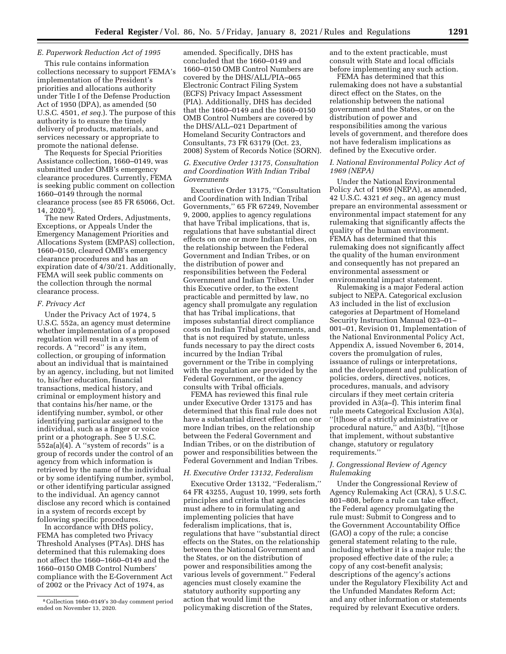# *E. Paperwork Reduction Act of 1995*

This rule contains information collections necessary to support FEMA's implementation of the President's priorities and allocations authority under Title I of the Defense Production Act of 1950 (DPA), as amended (50 U.S.C. 4501, *et seq.*). The purpose of this authority is to ensure the timely delivery of products, materials, and services necessary or appropriate to promote the national defense.

The Requests for Special Priorities Assistance collection, 1660–0149, was submitted under OMB's emergency clearance procedures. Currently, FEMA is seeking public comment on collection 1660–0149 through the normal clearance process (see 85 FR 65066, Oct. 14, 2020 8).

The new Rated Orders, Adjustments, Exceptions, or Appeals Under the Emergency Management Priorities and Allocations System (EMPAS) collection, 1660–0150, cleared OMB's emergency clearance procedures and has an expiration date of 4/30/21. Additionally, FEMA will seek public comments on the collection through the normal clearance process.

## *F. Privacy Act*

Under the Privacy Act of 1974, 5 U.S.C. 552a, an agency must determine whether implementation of a proposed regulation will result in a system of records. A ''record'' is any item, collection, or grouping of information about an individual that is maintained by an agency, including, but not limited to, his/her education, financial transactions, medical history, and criminal or employment history and that contains his/her name, or the identifying number, symbol, or other identifying particular assigned to the individual, such as a finger or voice print or a photograph. See 5 U.S.C. 552a(a)(4). A ''system of records'' is a group of records under the control of an agency from which information is retrieved by the name of the individual or by some identifying number, symbol, or other identifying particular assigned to the individual. An agency cannot disclose any record which is contained in a system of records except by following specific procedures.

In accordance with DHS policy, FEMA has completed two Privacy Threshold Analyses (PTAs). DHS has determined that this rulemaking does not affect the 1660–1660–0149 and the 1660–0150 OMB Control Numbers' compliance with the E-Government Act of 2002 or the Privacy Act of 1974, as

amended. Specifically, DHS has concluded that the 1660–0149 and 1660–0150 OMB Control Numbers are covered by the DHS/ALL/PIA–065 Electronic Contract Filing System (ECFS) Privacy Impact Assessment (PIA). Additionally, DHS has decided that the 1660–0149 and the 1660–0150 OMB Control Numbers are covered by the DHS/ALL–021 Department of Homeland Security Contractors and Consultants, 73 FR 63179 (Oct. 23, 2008) System of Records Notice (SORN).

*G. Executive Order 13175, Consultation and Coordination With Indian Tribal Governments* 

Executive Order 13175, ''Consultation and Coordination with Indian Tribal Governments,'' 65 FR 67249, November 9, 2000, applies to agency regulations that have Tribal implications, that is, regulations that have substantial direct effects on one or more Indian tribes, on the relationship between the Federal Government and Indian Tribes, or on the distribution of power and responsibilities between the Federal Government and Indian Tribes. Under this Executive order, to the extent practicable and permitted by law, no agency shall promulgate any regulation that has Tribal implications, that imposes substantial direct compliance costs on Indian Tribal governments, and that is not required by statute, unless funds necessary to pay the direct costs incurred by the Indian Tribal government or the Tribe in complying with the regulation are provided by the Federal Government, or the agency consults with Tribal officials.

FEMA has reviewed this final rule under Executive Order 13175 and has determined that this final rule does not have a substantial direct effect on one or more Indian tribes, on the relationship between the Federal Government and Indian Tribes, or on the distribution of power and responsibilities between the Federal Government and Indian Tribes.

#### *H. Executive Order 13132, Federalism*

Executive Order 13132, ''Federalism,'' 64 FR 43255, August 10, 1999, sets forth principles and criteria that agencies must adhere to in formulating and implementing policies that have federalism implications, that is, regulations that have ''substantial direct effects on the States, on the relationship between the National Government and the States, or on the distribution of power and responsibilities among the various levels of government.'' Federal agencies must closely examine the statutory authority supporting any action that would limit the policymaking discretion of the States,

and to the extent practicable, must consult with State and local officials before implementing any such action.

FEMA has determined that this rulemaking does not have a substantial direct effect on the States, on the relationship between the national government and the States, or on the distribution of power and responsibilities among the various levels of government, and therefore does not have federalism implications as defined by the Executive order.

## *I. National Environmental Policy Act of 1969 (NEPA)*

Under the National Environmental Policy Act of 1969 (NEPA), as amended, 42 U.S.C. 4321 *et seq.,* an agency must prepare an environmental assessment or environmental impact statement for any rulemaking that significantly affects the quality of the human environment. FEMA has determined that this rulemaking does not significantly affect the quality of the human environment and consequently has not prepared an environmental assessment or environmental impact statement.

Rulemaking is a major Federal action subject to NEPA. Categorical exclusion A3 included in the list of exclusion categories at Department of Homeland Security Instruction Manual 023–01– 001–01, Revision 01, Implementation of the National Environmental Policy Act, Appendix A, issued November 6, 2014, covers the promulgation of rules, issuance of rulings or interpretations, and the development and publication of policies, orders, directives, notices, procedures, manuals, and advisory circulars if they meet certain criteria provided in A3(a–f). This interim final rule meets Categorical Exclusion A3(a), ''[t]hose of a strictly administrative or procedural nature,'' and A3(b), ''[t]hose that implement, without substantive change, statutory or regulatory requirements.''

# *J. Congressional Review of Agency Rulemaking*

Under the Congressional Review of Agency Rulemaking Act (CRA), 5 U.S.C. 801–808, before a rule can take effect, the Federal agency promulgating the rule must: Submit to Congress and to the Government Accountability Office (GAO) a copy of the rule; a concise general statement relating to the rule, including whether it is a major rule; the proposed effective date of the rule; a copy of any cost-benefit analysis; descriptions of the agency's actions under the Regulatory Flexibility Act and the Unfunded Mandates Reform Act; and any other information or statements required by relevant Executive orders.

<sup>8</sup>Collection 1660–0149's 30-day comment period ended on November 13, 2020.